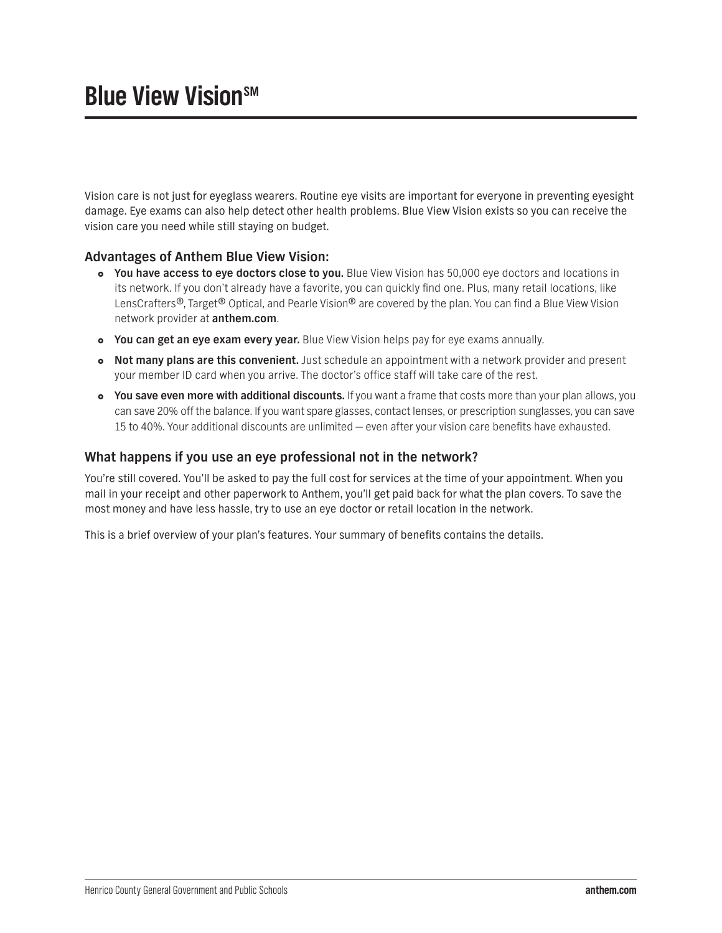## **Blue View Vision**SM

Vision care is not just for eyeglass wearers. Routine eye visits are important for everyone in preventing eyesight damage. Eye exams can also help detect other health problems. Blue View Vision exists so you can receive the vision care you need while still staying on budget.

## **Advantages of Anthem Blue View Vision:**

- **You have access to eye doctors close to you.** Blue View Vision has 50,000 eye doctors and locations in its network. If you don't already have a favorite, you can quickly find one. Plus, many retail locations, like LensCrafters<sup>®</sup>, Target<sup>®</sup> Optical, and Pearle Vision<sup>®</sup> are covered by the plan. You can find a Blue View Vision network provider at **[anthem.com](http://anthem.com)**.
- **You can get an eye exam every year.** Blue View Vision helps pay for eye exams annually.
- **Not many plans are this convenient.** Just schedule an appointment with a network provider and present your member ID card when you arrive. The doctor's office staff will take care of the rest.
- **You save even more with additional discounts.** If you want a frame that costs more than your plan allows, you can save 20% off the balance. If you want spare glasses, contact lenses, or prescription sunglasses, you can save 15 to 40%. Your additional discounts are unlimited — even after your vision care benefits have exhausted.

## **What happens if you use an eye professional not in the network?**

You're still covered. You'll be asked to pay the full cost for services at the time of your appointment. When you mail in your receipt and other paperwork to Anthem, you'll get paid back for what the plan covers. To save the most money and have less hassle, try to use an eye doctor or retail location in the network.

This is a brief overview of your plan's features. Your summary of benefits contains the details.